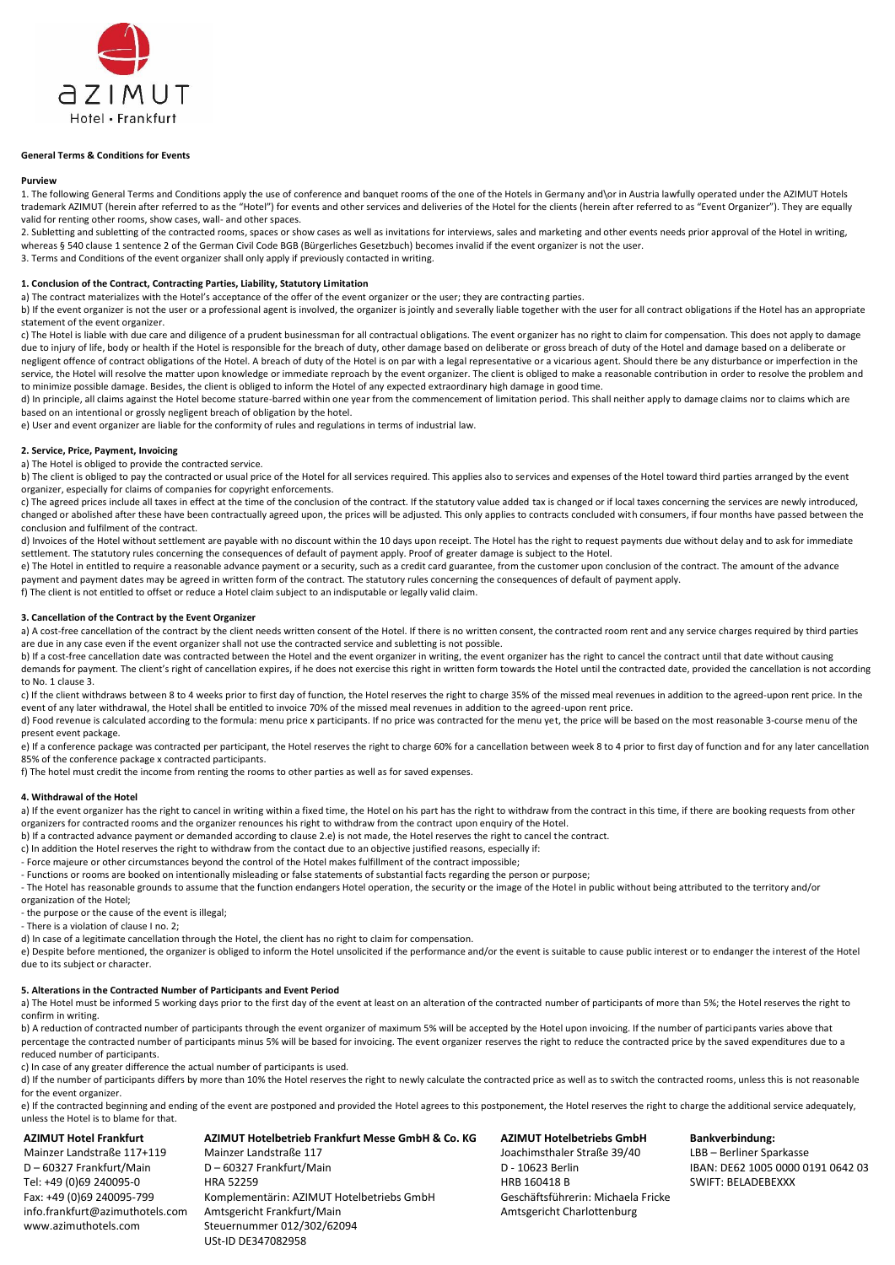

## **General Terms & Conditions for Events**

#### **Purview**

1. The following General Terms and Conditions apply the use of conference and banquet rooms of the one of the Hotels in Germany and\or in Austria lawfully operated under the AZIMUT Hotels trademark AZIMUT (herein after referred to as the "Hotel") for events and other services and deliveries of the Hotel for the clients (herein after referred to as "Event Organizer"). They are equally valid for renting other rooms, show cases, wall- and other spaces.

2. Subletting and subletting of the contracted rooms, spaces or show cases as well as invitations for interviews, sales and marketing and other events needs prior approval of the Hotel in writing. whereas § 540 clause 1 sentence 2 of the German Civil Code BGB (Bürgerliches Gesetzbuch) becomes invalid if the event organizer is not the user.

3. Terms and Conditions of the event organizer shall only apply if previously contacted in writing.

#### **1. Conclusion of the Contract, Contracting Parties, Liability, Statutory Limitation**

a) The contract materializes with the Hotel's acceptance of the offer of the event organizer or the user; they are contracting parties.

b) If the event organizer is not the user or a professional agent is involved, the organizer is jointly and severally liable together with the user for all contract obligations if the Hotel has an appropriate statement of the event organizer.

c) The Hotel is liable with due care and diligence of a prudent businessman for all contractual obligations. The event organizer has no right to claim for compensation. This does not apply to damage due to injury of life, body or health if the Hotel is responsible for the breach of duty, other damage based on deliberate or gross breach of duty of the Hotel and damage based on a deliberate or negligent offence of contract obligations of the Hotel. A breach of duty of the Hotel is on par with a legal representative or a vicarious agent. Should there be any disturbance or imperfection in the service, the Hotel will resolve the matter upon knowledge or immediate reproach by the event organizer. The client is obliged to make a reasonable contribution in order to resolve the problem and to minimize possible damage. Besides, the client is obliged to inform the Hotel of any expected extraordinary high damage in good time.

d) In principle, all claims against the Hotel become stature-barred within one year from the commencement of limitation period. This shall neither apply to damage claims nor to claims which are based on an intentional or grossly negligent breach of obligation by the hotel.

e) User and event organizer are liable for the conformity of rules and regulations in terms of industrial law.

# **2. Service, Price, Payment, Invoicing**

a) The Hotel is obliged to provide the contracted service.

b) The client is obliged to pay the contracted or usual price of the Hotel for all services required. This applies also to services and expenses of the Hotel toward third parties arranged by the event organizer, especially for claims of companies for copyright enforcements.

c) The agreed prices include all taxes in effect at the time of the conclusion of the contract. If the statutory value added tax is changed or if local taxes concerning the services are newly introduced, changed or abolished after these have been contractually agreed upon, the prices will be adjusted. This only applies to contracts concluded with consumers, if four months have passed between the conclusion and fulfilment of the contract.

d) Invoices of the Hotel without settlement are payable with no discount within the 10 days upon receipt. The Hotel has the right to request payments due without delay and to ask for immediate settlement. The statutory rules concerning the consequences of default of payment apply. Proof of greater damage is subject to the Hotel.

e) The Hotel in entitled to require a reasonable advance payment or a security, such as a credit card guarantee, from the customer upon conclusion of the contract. The amount of the advance payment and payment dates may be agreed in written form of the contract. The statutory rules concerning the consequences of default of payment apply.

f) The client is not entitled to offset or reduce a Hotel claim subject to an indisputable or legally valid claim.

#### **3. Cancellation of the Contract by the Event Organizer**

a) A cost-free cancellation of the contract by the client needs written consent of the Hotel. If there is no written consent, the contracted room rent and any service charges required by third parties are due in any case even if the event organizer shall not use the contracted service and subletting is not possible.

b) If a cost-free cancellation date was contracted between the Hotel and the event organizer in writing, the event organizer has the right to cancel the contract until that date without causing demands for payment. The client's right of cancellation expires, if he does not exercise this right in written form towards the Hotel until the contracted date, provided the cancellation is not according to No. 1 clause 3.

c) If the client withdraws between 8 to 4 weeks prior to first day of function, the Hotel reserves the right to charge 35% of the missed meal revenues in addition to the agreed-upon rent price. In the event of any later withdrawal, the Hotel shall be entitled to invoice 70% of the missed meal revenues in addition to the agreed-upon rent price.

d) Food revenue is calculated according to the formula: menu price x participants. If no price was contracted for the menu yet, the price will be based on the most reasonable 3-course menu of the present event package.

e) If a conference package was contracted per participant, the Hotel reserves the right to charge 60% for a cancellation between week 8 to 4 prior to first day of function and for any later cancellation 85% of the conference package x contracted participants.

f) The hotel must credit the income from renting the rooms to other parties as well as for saved expenses.

### **4. Withdrawal of the Hotel**

a) If the event organizer has the right to cancel in writing within a fixed time, the Hotel on his part has the right to withdraw from the contract in this time, if there are booking requests from other organizers for contracted rooms and the organizer renounces his right to withdraw from the contract upon enquiry of the Hotel.

b) If a contracted advance payment or demanded according to clause 2.e) is not made, the Hotel reserves the right to cancel the contract.

c) In addition the Hotel reserves the right to withdraw from the contact due to an objective justified reasons, especially if:

- Force majeure or other circumstances beyond the control of the Hotel makes fulfillment of the contract impossible;

- Functions or rooms are booked on intentionally misleading or false statements of substantial facts regarding the person or purpose;

- The Hotel has reasonable grounds to assume that the function endangers Hotel operation, the security or the image of the Hotel in public without being attributed to the territory and/or

organization of the Hotel;

- the purpose or the cause of the event is illegal;

- There is a violation of clause I no. 2;

d) In case of a legitimate cancellation through the Hotel, the client has no right to claim for compensation.

Mainzer Landstraße 117 D – 60327 Frankfurt/Main

Amtsgericht Frankfurt/Main Steuernummer 012/302/62094 USt-ID DE347082958

Komplementärin: AZIMUT Hotelbetriebs GmbH

HRA 52259

e) Despite before mentioned, the organizer is obliged to inform the Hotel unsolicited if the performance and/or the event is suitable to cause public interest or to endanger the interest of the Hotel due to its subject or character.

## **5. Alterations in the Contracted Number of Participants and Event Period**

a) The Hotel must be informed 5 working days prior to the first day of the event at least on an alteration of the contracted number of participants of more than 5%; the Hotel reserves the right to confirm in writing.

b) A reduction of contracted number of participants through the event organizer of maximum 5% will be accepted by the Hotel upon invoicing. If the number of participants varies above that percentage the contracted number of participants minus 5% will be based for invoicing. The event organizer reserves the right to reduce the contracted price by the saved expenditures due to a reduced number of participants.

c) In case of any greater difference the actual number of participants is used.

d) If the number of participants differs by more than 10% the Hotel reserves the right to newly calculate the contracted price as well as to switch the contracted rooms, unless this is not reasonable for the event organizer.

e) If the contracted beginning and ending of the event are postponed and provided the Hotel agrees to this postponement, the Hotel reserves the right to charge the additional service adequately, unless the Hotel is to blame for that.

#### **AZIMUT Hotel Frankfurt**

Mainzer Landstraße 117+119 D – 60327 Frankfurt/Main Tel: +49 (0)69 240095-0 Fax: +49 (0)69 240095-799 info.frankfurt@azimuthotels.com www.azimuthotels.com

**AZIMUT Hotelbetrieb Frankfurt Messe GmbH & Co. KG**

**AZIMUT Hotelbetriebs GmbH** Joachimsthaler Straße 39/40 D - 10623 Berlin HRB 160418 B Geschäftsführerin: Michaela Fricke Amtsgericht Charlottenburg

**Bankverbindung:**

LBB – Berliner Sparkasse IBAN: DE62 1005 0000 0191 0642 03 SWIFT: BELADEBEXXX